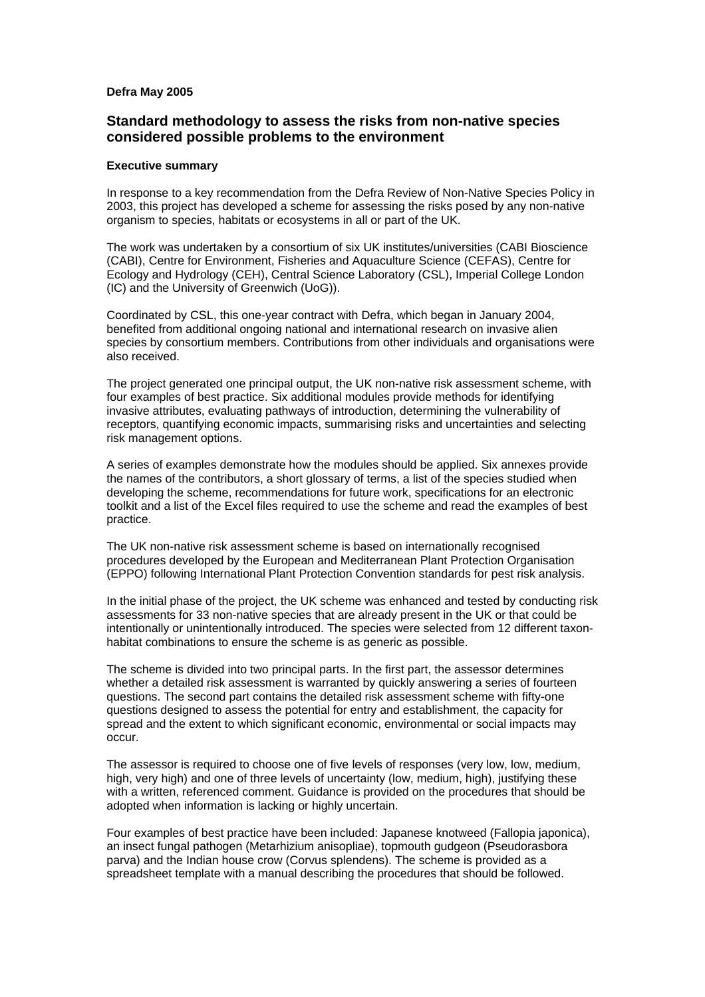## **Defra May 2005**

## **Standard methodology to assess the risks from non-native species considered possible problems to the environment**

## **Executive summary**

In response to a key recommendation from the Defra Review of Non-Native Species Policy in 2003, this project has developed a scheme for assessing the risks posed by any non-native organism to species, habitats or ecosystems in all or part of the UK.

The work was undertaken by a consortium of six UK institutes/universities (CABI Bioscience (CABI), Centre for Environment, Fisheries and Aquaculture Science (CEFAS), Centre for Ecology and Hydrology (CEH), Central Science Laboratory (CSL), Imperial College London (IC) and the University of Greenwich (UoG)).

Coordinated by CSL, this one-year contract with Defra, which began in January 2004, benefited from additional ongoing national and international research on invasive alien species by consortium members. Contributions from other individuals and organisations were also received.

The project generated one principal output, the UK non-native risk assessment scheme, with four examples of best practice. Six additional modules provide methods for identifying invasive attributes, evaluating pathways of introduction, determining the vulnerability of receptors, quantifying economic impacts, summarising risks and uncertainties and selecting risk management options.

A series of examples demonstrate how the modules should be applied. Six annexes provide the names of the contributors, a short glossary of terms, a list of the species studied when developing the scheme, recommendations for future work, specifications for an electronic toolkit and a list of the Excel files required to use the scheme and read the examples of best practice.

The UK non-native risk assessment scheme is based on internationally recognised procedures developed by the European and Mediterranean Plant Protection Organisation (EPPO) following International Plant Protection Convention standards for pest risk analysis.

In the initial phase of the project, the UK scheme was enhanced and tested by conducting risk assessments for 33 non-native species that are already present in the UK or that could be intentionally or unintentionally introduced. The species were selected from 12 different taxonhabitat combinations to ensure the scheme is as generic as possible.

The scheme is divided into two principal parts. In the first part, the assessor determines whether a detailed risk assessment is warranted by quickly answering a series of fourteen questions. The second part contains the detailed risk assessment scheme with fifty-one questions designed to assess the potential for entry and establishment, the capacity for spread and the extent to which significant economic, environmental or social impacts may occur.

The assessor is required to choose one of five levels of responses (very low, low, medium, high, very high) and one of three levels of uncertainty (low, medium, high), justifying these with a written, referenced comment. Guidance is provided on the procedures that should be adopted when information is lacking or highly uncertain.

Four examples of best practice have been included: Japanese knotweed (Fallopia japonica), an insect fungal pathogen (Metarhizium anisopliae), topmouth gudgeon (Pseudorasbora parva) and the Indian house crow (Corvus splendens). The scheme is provided as a spreadsheet template with a manual describing the procedures that should be followed.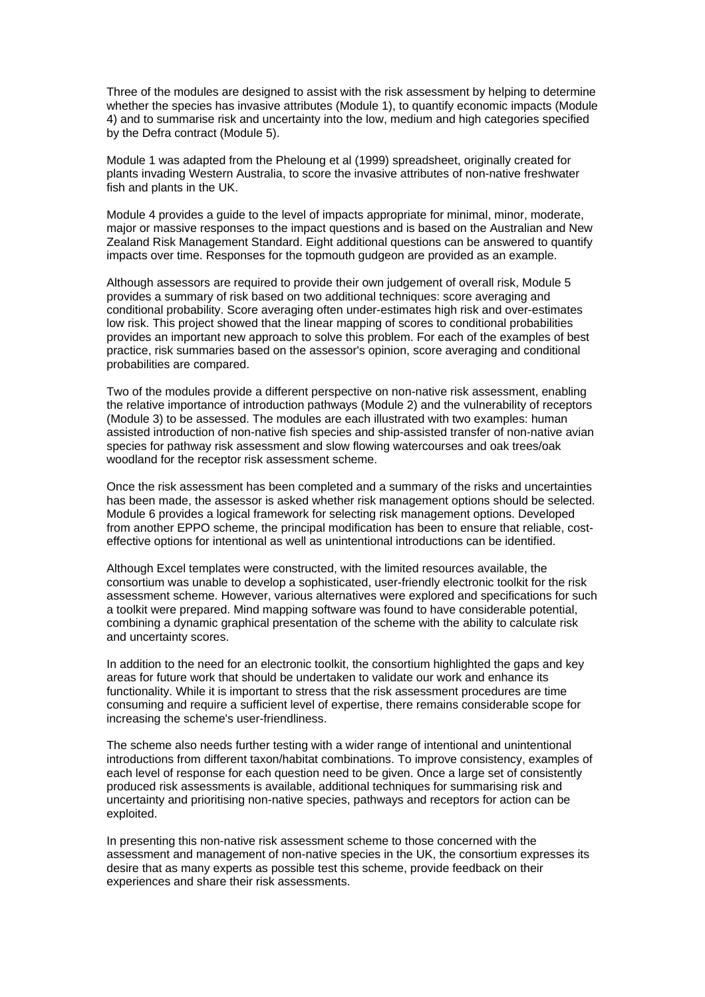Three of the modules are designed to assist with the risk assessment by helping to determine whether the species has invasive attributes (Module 1), to quantify economic impacts (Module 4) and to summarise risk and uncertainty into the low, medium and high categories specified by the Defra contract (Module 5).

Module 1 was adapted from the Pheloung et al (1999) spreadsheet, originally created for plants invading Western Australia, to score the invasive attributes of non-native freshwater fish and plants in the UK.

Module 4 provides a guide to the level of impacts appropriate for minimal, minor, moderate, major or massive responses to the impact questions and is based on the Australian and New Zealand Risk Management Standard. Eight additional questions can be answered to quantify impacts over time. Responses for the topmouth gudgeon are provided as an example.

Although assessors are required to provide their own judgement of overall risk, Module 5 provides a summary of risk based on two additional techniques: score averaging and conditional probability. Score averaging often under-estimates high risk and over-estimates low risk. This project showed that the linear mapping of scores to conditional probabilities provides an important new approach to solve this problem. For each of the examples of best practice, risk summaries based on the assessor's opinion, score averaging and conditional probabilities are compared.

Two of the modules provide a different perspective on non-native risk assessment, enabling the relative importance of introduction pathways (Module 2) and the vulnerability of receptors (Module 3) to be assessed. The modules are each illustrated with two examples: human assisted introduction of non-native fish species and ship-assisted transfer of non-native avian species for pathway risk assessment and slow flowing watercourses and oak trees/oak woodland for the receptor risk assessment scheme.

Once the risk assessment has been completed and a summary of the risks and uncertainties has been made, the assessor is asked whether risk management options should be selected. Module 6 provides a logical framework for selecting risk management options. Developed from another EPPO scheme, the principal modification has been to ensure that reliable, costeffective options for intentional as well as unintentional introductions can be identified.

Although Excel templates were constructed, with the limited resources available, the consortium was unable to develop a sophisticated, user-friendly electronic toolkit for the risk assessment scheme. However, various alternatives were explored and specifications for such a toolkit were prepared. Mind mapping software was found to have considerable potential, combining a dynamic graphical presentation of the scheme with the ability to calculate risk and uncertainty scores.

In addition to the need for an electronic toolkit, the consortium highlighted the gaps and key areas for future work that should be undertaken to validate our work and enhance its functionality. While it is important to stress that the risk assessment procedures are time consuming and require a sufficient level of expertise, there remains considerable scope for increasing the scheme's user-friendliness.

The scheme also needs further testing with a wider range of intentional and unintentional introductions from different taxon/habitat combinations. To improve consistency, examples of each level of response for each question need to be given. Once a large set of consistently produced risk assessments is available, additional techniques for summarising risk and uncertainty and prioritising non-native species, pathways and receptors for action can be exploited.

In presenting this non-native risk assessment scheme to those concerned with the assessment and management of non-native species in the UK, the consortium expresses its desire that as many experts as possible test this scheme, provide feedback on their experiences and share their risk assessments.